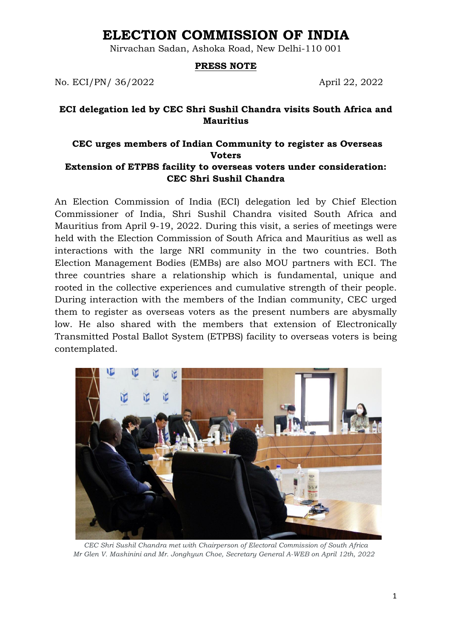# **ELECTION COMMISSION OF INDIA**

Nirvachan Sadan, Ashoka Road, New Delhi-110 001

#### **PRESS NOTE**

No. ECI/PN/ 36/2022 April 22, 2022

### **ECI delegation led by CEC Shri Sushil Chandra visits South Africa and Mauritius**

# **CEC urges members of Indian Community to register as Overseas Voters Extension of ETPBS facility to overseas voters under consideration: CEC Shri Sushil Chandra**

An Election Commission of India (ECI) delegation led by Chief Election Commissioner of India, Shri Sushil Chandra visited South Africa and Mauritius from April 9-19, 2022. During this visit, a series of meetings were held with the Election Commission of South Africa and Mauritius as well as interactions with the large NRI community in the two countries. Both Election Management Bodies (EMBs) are also MOU partners with ECI. The three countries share a relationship which is fundamental, unique and rooted in the collective experiences and cumulative strength of their people. During interaction with the members of the Indian community, CEC urged them to register as overseas voters as the present numbers are abysmally low. He also shared with the members that extension of Electronically Transmitted Postal Ballot System (ETPBS) facility to overseas voters is being contemplated.



*CEC Shri Sushil Chandra met with Chairperson of Electoral Commission of South Africa Mr Glen V. Mashinini and Mr. Jonghyun Choe, Secretary General A-WEB on April 12th, 2022*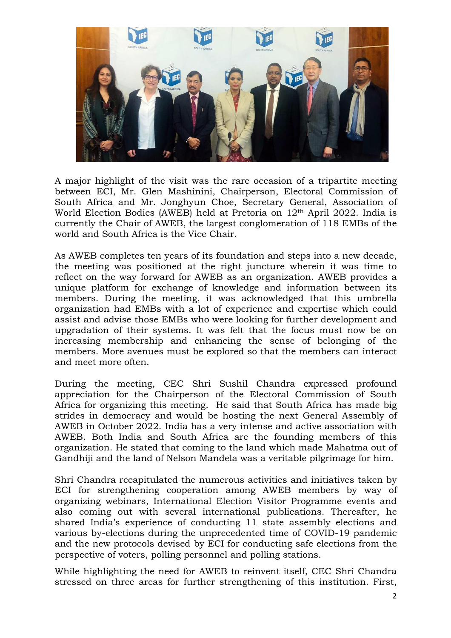

A major highlight of the visit was the rare occasion of a tripartite meeting between ECI, Mr. Glen Mashinini, Chairperson, Electoral Commission of South Africa and Mr. Jonghyun Choe, Secretary General, Association of World Election Bodies (AWEB) held at Pretoria on 12th April 2022. India is currently the Chair of AWEB, the largest conglomeration of 118 EMBs of the world and South Africa is the Vice Chair.

As AWEB completes ten years of its foundation and steps into a new decade, the meeting was positioned at the right juncture wherein it was time to reflect on the way forward for AWEB as an organization. AWEB provides a unique platform for exchange of knowledge and information between its members. During the meeting, it was acknowledged that this umbrella organization had EMBs with a lot of experience and expertise which could assist and advise those EMBs who were looking for further development and upgradation of their systems. It was felt that the focus must now be on increasing membership and enhancing the sense of belonging of the members. More avenues must be explored so that the members can interact and meet more often.

During the meeting, CEC Shri Sushil Chandra expressed profound appreciation for the Chairperson of the Electoral Commission of South Africa for organizing this meeting. He said that South Africa has made big strides in democracy and would be hosting the next General Assembly of AWEB in October 2022. India has a very intense and active association with AWEB. Both India and South Africa are the founding members of this organization. He stated that coming to the land which made Mahatma out of Gandhiji and the land of Nelson Mandela was a veritable pilgrimage for him.

Shri Chandra recapitulated the numerous activities and initiatives taken by ECI for strengthening cooperation among AWEB members by way of organizing webinars, International Election Visitor Programme events and also coming out with several international publications. Thereafter, he shared India's experience of conducting 11 state assembly elections and various by-elections during the unprecedented time of COVID-19 pandemic and the new protocols devised by ECI for conducting safe elections from the perspective of voters, polling personnel and polling stations.

While highlighting the need for AWEB to reinvent itself, CEC Shri Chandra stressed on three areas for further strengthening of this institution. First,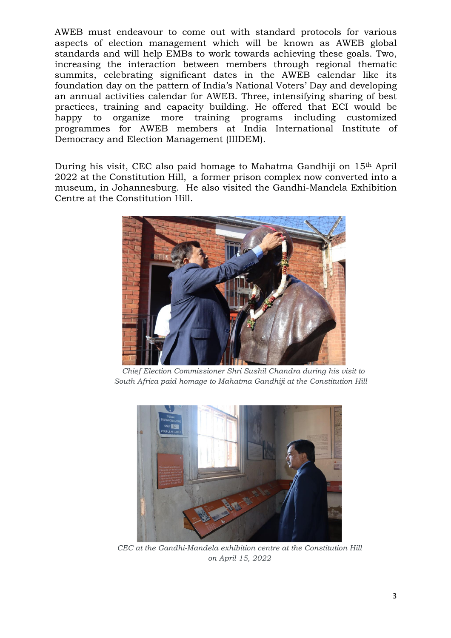AWEB must endeavour to come out with standard protocols for various aspects of election management which will be known as AWEB global standards and will help EMBs to work towards achieving these goals. Two, increasing the interaction between members through regional thematic summits, celebrating significant dates in the AWEB calendar like its foundation day on the pattern of India's National Voters' Day and developing an annual activities calendar for AWEB. Three, intensifying sharing of best practices, training and capacity building. He offered that ECI would be happy to organize more training programs including customized programmes for AWEB members at India International Institute of Democracy and Election Management (IIIDEM).

During his visit, CEC also paid homage to Mahatma Gandhiji on 15th April 2022 at the Constitution Hill, a former prison complex now converted into a museum, in Johannesburg. He also visited the Gandhi-Mandela Exhibition Centre at the Constitution Hill.



 *Chief Election Commissioner Shri Sushil Chandra during his visit to South Africa paid homage to Mahatma Gandhiji at the Constitution Hill*



*CEC at the Gandhi-Mandela exhibition centre at the Constitution Hill on April 15, 2022*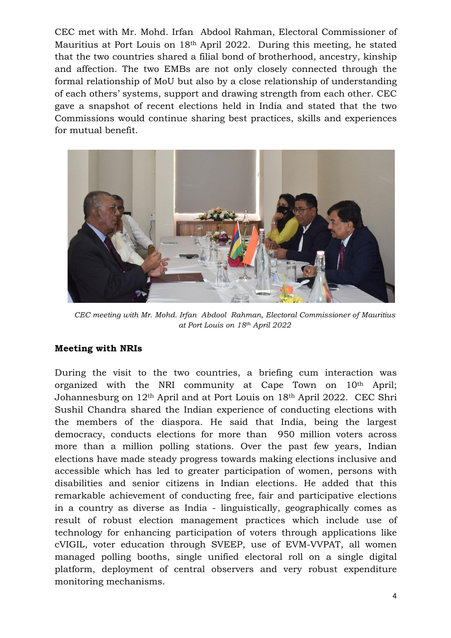CEC met with Mr. Mohd. Irfan Abdool Rahman, Electoral Commissioner of Mauritius at Port Louis on 18th April 2022. During this meeting, he stated that the two countries shared a filial bond of brotherhood, ancestry, kinship and affection. The two EMBs are not only closely connected through the formal relationship of MoU but also by a close relationship of understanding of each others' systems, support and drawing strength from each other. CEC gave a snapshot of recent elections held in India and stated that the two Commissions would continue sharing best practices, skills and experiences for mutual benefit.



*CEC meeting with Mr. Mohd. Irfan Abdool Rahman, Electoral Commissioner of Mauritius at Port Louis on 18th April 2022*

# **Meeting with NRIs**

During the visit to the two countries, a briefing cum interaction was organized with the NRI community at Cape Town on 10th April; Johannesburg on 12th April and at Port Louis on 18th April 2022. CEC Shri Sushil Chandra shared the Indian experience of conducting elections with the members of the diaspora. He said that India, being the largest democracy, conducts elections for more than 950 million voters across more than a million polling stations. Over the past few years, Indian elections have made steady progress towards making elections inclusive and accessible which has led to greater participation of women, persons with disabilities and senior citizens in Indian elections. He added that this remarkable achievement of conducting free, fair and participative elections in a country as diverse as India - linguistically, geographically comes as result of robust election management practices which include use of technology for enhancing participation of voters through applications like cVIGIL, voter education through SVEEP, use of EVM-VVPAT, all women managed polling booths, single unified electoral roll on a single digital platform, deployment of central observers and very robust expenditure monitoring mechanisms.